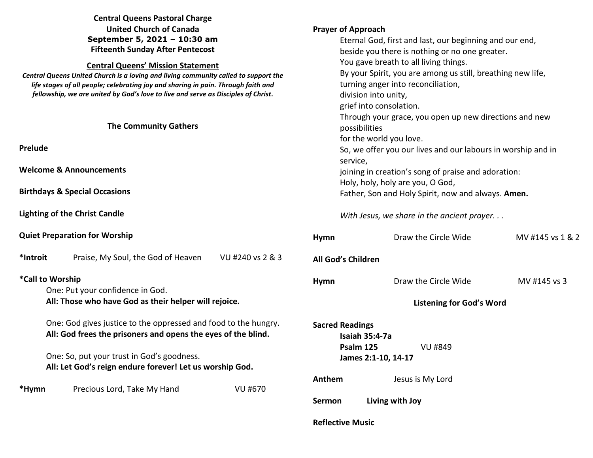|                                                                                                                                                                                                                                                                                                                                                      | <b>Central Queens Pastoral Charge</b>                         |                  |                                                                                                                                                                                                                                                 |                                  |                  |                              |  |  |                                                                         |  |  |
|------------------------------------------------------------------------------------------------------------------------------------------------------------------------------------------------------------------------------------------------------------------------------------------------------------------------------------------------------|---------------------------------------------------------------|------------------|-------------------------------------------------------------------------------------------------------------------------------------------------------------------------------------------------------------------------------------------------|----------------------------------|------------------|------------------------------|--|--|-------------------------------------------------------------------------|--|--|
| <b>United Church of Canada</b>                                                                                                                                                                                                                                                                                                                       |                                                               |                  | <b>Prayer of Approach</b>                                                                                                                                                                                                                       |                                  |                  |                              |  |  |                                                                         |  |  |
| September 5, 2021 - 10:30 am                                                                                                                                                                                                                                                                                                                         |                                                               |                  | Eternal God, first and last, our beginning and our end,                                                                                                                                                                                         |                                  |                  |                              |  |  |                                                                         |  |  |
| <b>Fifteenth Sunday After Pentecost</b><br><b>Central Queens' Mission Statement</b><br>Central Queens United Church is a loving and living community called to support the<br>life stages of all people; celebrating joy and sharing in pain. Through faith and<br>fellowship, we are united by God's love to live and serve as Disciples of Christ. |                                                               |                  | beside you there is nothing or no one greater.<br>You gave breath to all living things.<br>By your Spirit, you are among us still, breathing new life,<br>turning anger into reconciliation,<br>division into unity,<br>grief into consolation. |                                  |                  |                              |  |  |                                                                         |  |  |
|                                                                                                                                                                                                                                                                                                                                                      |                                                               |                  |                                                                                                                                                                                                                                                 |                                  |                  |                              |  |  |                                                                         |  |  |
|                                                                                                                                                                                                                                                                                                                                                      |                                                               |                  |                                                                                                                                                                                                                                                 |                                  |                  |                              |  |  |                                                                         |  |  |
|                                                                                                                                                                                                                                                                                                                                                      |                                                               |                  |                                                                                                                                                                                                                                                 |                                  |                  | <b>The Community Gathers</b> |  |  | Through your grace, you open up new directions and new<br>possibilities |  |  |
|                                                                                                                                                                                                                                                                                                                                                      |                                                               |                  |                                                                                                                                                                                                                                                 |                                  |                  |                              |  |  |                                                                         |  |  |
| Prelude                                                                                                                                                                                                                                                                                                                                              |                                                               |                  |                                                                                                                                                                                                                                                 |                                  |                  |                              |  |  | So, we offer you our lives and our labours in worship and in            |  |  |
|                                                                                                                                                                                                                                                                                                                                                      |                                                               |                  | service,                                                                                                                                                                                                                                        |                                  |                  |                              |  |  |                                                                         |  |  |
| <b>Welcome &amp; Announcements</b>                                                                                                                                                                                                                                                                                                                   |                                                               |                  | joining in creation's song of praise and adoration:                                                                                                                                                                                             |                                  |                  |                              |  |  |                                                                         |  |  |
|                                                                                                                                                                                                                                                                                                                                                      |                                                               |                  |                                                                                                                                                                                                                                                 | Holy, holy, holy are you, O God, |                  |                              |  |  |                                                                         |  |  |
| <b>Birthdays &amp; Special Occasions</b>                                                                                                                                                                                                                                                                                                             |                                                               |                  | Father, Son and Holy Spirit, now and always. Amen.                                                                                                                                                                                              |                                  |                  |                              |  |  |                                                                         |  |  |
| <b>Lighting of the Christ Candle</b>                                                                                                                                                                                                                                                                                                                 |                                                               |                  | With Jesus, we share in the ancient prayer                                                                                                                                                                                                      |                                  |                  |                              |  |  |                                                                         |  |  |
|                                                                                                                                                                                                                                                                                                                                                      | <b>Quiet Preparation for Worship</b>                          |                  | Hymn                                                                                                                                                                                                                                            | Draw the Circle Wide             | MV #145 vs 1 & 2 |                              |  |  |                                                                         |  |  |
| *Introit                                                                                                                                                                                                                                                                                                                                             | Praise, My Soul, the God of Heaven                            | VU #240 vs 2 & 3 | All God's Children                                                                                                                                                                                                                              |                                  |                  |                              |  |  |                                                                         |  |  |
| *Call to Worship                                                                                                                                                                                                                                                                                                                                     |                                                               |                  | Hymn                                                                                                                                                                                                                                            | Draw the Circle Wide             | MV #145 vs 3     |                              |  |  |                                                                         |  |  |
| One: Put your confidence in God.                                                                                                                                                                                                                                                                                                                     |                                                               |                  |                                                                                                                                                                                                                                                 |                                  |                  |                              |  |  |                                                                         |  |  |
| All: Those who have God as their helper will rejoice.                                                                                                                                                                                                                                                                                                |                                                               |                  | <b>Listening for God's Word</b>                                                                                                                                                                                                                 |                                  |                  |                              |  |  |                                                                         |  |  |
| One: God gives justice to the oppressed and food to the hungry.                                                                                                                                                                                                                                                                                      |                                                               |                  | <b>Sacred Readings</b>                                                                                                                                                                                                                          |                                  |                  |                              |  |  |                                                                         |  |  |
|                                                                                                                                                                                                                                                                                                                                                      | All: God frees the prisoners and opens the eyes of the blind. |                  |                                                                                                                                                                                                                                                 | Isaiah 35:4-7a                   |                  |                              |  |  |                                                                         |  |  |
|                                                                                                                                                                                                                                                                                                                                                      |                                                               |                  |                                                                                                                                                                                                                                                 | Psalm 125<br><b>VU #849</b>      |                  |                              |  |  |                                                                         |  |  |
| One: So, put your trust in God's goodness.                                                                                                                                                                                                                                                                                                           |                                                               |                  | James 2:1-10, 14-17                                                                                                                                                                                                                             |                                  |                  |                              |  |  |                                                                         |  |  |
|                                                                                                                                                                                                                                                                                                                                                      | All: Let God's reign endure forever! Let us worship God.      |                  |                                                                                                                                                                                                                                                 |                                  |                  |                              |  |  |                                                                         |  |  |
|                                                                                                                                                                                                                                                                                                                                                      |                                                               |                  | Anthem                                                                                                                                                                                                                                          | Jesus is My Lord                 |                  |                              |  |  |                                                                         |  |  |
| *Hymn                                                                                                                                                                                                                                                                                                                                                | Precious Lord, Take My Hand                                   | <b>VU #670</b>   |                                                                                                                                                                                                                                                 |                                  |                  |                              |  |  |                                                                         |  |  |
|                                                                                                                                                                                                                                                                                                                                                      |                                                               |                  | Sermon                                                                                                                                                                                                                                          | Living with Joy                  |                  |                              |  |  |                                                                         |  |  |
|                                                                                                                                                                                                                                                                                                                                                      |                                                               |                  | <b>Reflective Music</b>                                                                                                                                                                                                                         |                                  |                  |                              |  |  |                                                                         |  |  |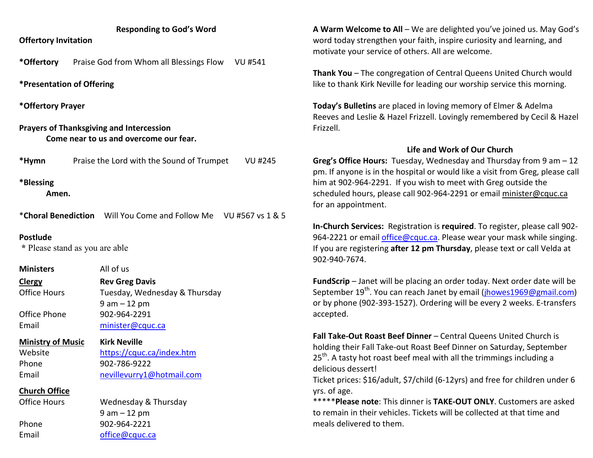## **Responding to God's Word**

**Offertory Invitation** 

**\*Offertory** Praise God from Whom all Blessings Flow VU #541

**\*Presentation of Offering** 

**\*Offertory Prayer** 

**Prayers of Thanksgiving and Intercession Come near to us and overcome our fear.** 

**\*Hymn** Praise the Lord with the Sound of Trumpet VU #245

**\*Blessing** 

**Amen.** 

\***Choral Benediction** Will You Come and Follow Me VU #567 vs 1 & 5

## **Postlude**

 **\*** Please stand as you are able

**Ministers All of us** 

**ClergyClergy Rev Greg Davis**<br> **Centrice Hours Tuesday, Wedne** Tuesday, Wednesday & Thursday 9 am – 12 pm Office Phone 902-964-2291 Email minister@cquc.ca

**Ministry of Music Kirk Neville**Website https://cquc.ca/index.htm Phone 902-786-9222 Email nevillevurry1@hotmail.com

**Church Office**

Office Hours

Wednesday & Thursday 9 am – 12 pm Phone 902-964-2221 Email office@cquc.ca

**A Warm Welcome to All** – We are delighted you've joined us. May God's word today strengthen your faith, inspire curiosity and learning, and motivate your service of others. All are welcome.

**Thank You** – The congregation of Central Queens United Church would like to thank Kirk Neville for leading our worship service this morning.

**Today's Bulletins** are placed in loving memory of Elmer & Adelma Reeves and Leslie & Hazel Frizzell. Lovingly remembered by Cecil & Hazel Frizzell.

## **Life and Work of Our Church**

**Greg's Office Hours:** Tuesday, Wednesday and Thursday from 9 am – 12 pm. If anyone is in the hospital or would like a visit from Greg, please call him at 902-964-2291. If you wish to meet with Greg outside the scheduled hours, please call 902-964-2291 or email minister@cquc.ca for an appointment.

**In-Church Services:** Registration is **required**. To register, please call 902-964-2221 or email *office@cquc.ca*. Please wear your mask while singing. If you are registering **after 12 pm Thursday**, please text or call Velda at 902-940-7674.

**FundScrip** – Janet will be placing an order today. Next order date will be September 19<sup>th</sup>. You can reach Janet by email (<u>jhowes1969@gmail.com</u>) or by phone (902-393-1527). Ordering will be every 2 weeks. E-transfers accepted.

**Fall Take-Out Roast Beef Dinner** – Central Queens United Church is holding their Fall Take-out Roast Beef Dinner on Saturday, September  $25<sup>th</sup>$ . A tasty hot roast beef meal with all the trimmings including a delicious dessert!

Ticket prices: \$16/adult, \$7/child (6-12yrs) and free for children under 6 yrs. of age.

\*\*\*\*\***Please note**: This dinner is **TAKE-OUT ONLY**. Customers are asked to remain in their vehicles. Tickets will be collected at that time and meals delivered to them.